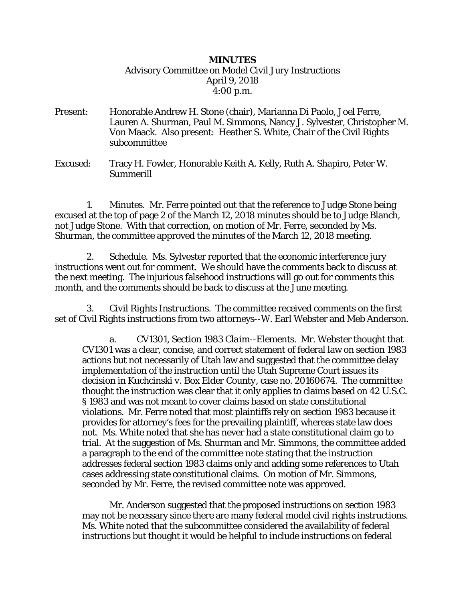## *MINUTES* Advisory Committee on Model Civil Jury Instructions April 9, 2018 4:00 p.m.

- Present: Honorable Andrew H. Stone (chair), Marianna Di Paolo, Joel Ferre, Lauren A. Shurman, Paul M. Simmons, Nancy J. Sylvester, Christopher M. Von Maack. Also present: Heather S. White, Chair of the Civil Rights subcommittee
- Excused: Tracy H. Fowler, Honorable Keith A. Kelly, Ruth A. Shapiro, Peter W. Summerill

 1. *Minutes.* Mr. Ferre pointed out that the reference to Judge Stone being excused at the top of page 2 of the March 12, 2018 minutes should be to Judge Blanch, not Judge Stone. With that correction, on motion of Mr. Ferre, seconded by Ms. Shurman, the committee approved the minutes of the March 12, 2018 meeting.

 2. *Schedule.* Ms. Sylvester reported that the economic interference jury instructions went out for comment. We should have the comments back to discuss at the next meeting. The injurious falsehood instructions will go out for comments this month, and the comments should be back to discuss at the June meeting.

 3. *Civil Rights Instructions.* The committee received comments on the first set of Civil Rights instructions from two attorneys--W. Earl Webster and Meb Anderson.

a. *CV1301, Section 1983 Claim--Elements.* Mr. Webster thought that CV1301 was a clear, concise, and correct statement of federal law on section 1983 actions but not necessarily of Utah law and suggested that the committee delay implementation of the instruction until the Utah Supreme Court issues its decision in *Kuchcinski v. Box Elder County,* case no. 20160674. The committee thought the instruction was clear that it only applies to claims based on 42 U.S.C. § 1983 and was not meant to cover claims based on state constitutional violations. Mr. Ferre noted that most plaintiffs rely on section 1983 because it provides for attorney's fees for the prevailing plaintiff, whereas state law does not. Ms. White noted that she has never had a state constitutional claim go to trial. At the suggestion of Ms. Shurman and Mr. Simmons, the committee added a paragraph to the end of the committee note stating that the instruction addresses federal section 1983 claims only and adding some references to Utah cases addressing state constitutional claims. On motion of Mr. Simmons, seconded by Mr. Ferre, the revised committee note was approved.

Mr. Anderson suggested that the proposed instructions on section 1983 may not be necessary since there are many federal model civil rights instructions. Ms. White noted that the subcommittee considered the availability of federal instructions but thought it would be helpful to include instructions on federal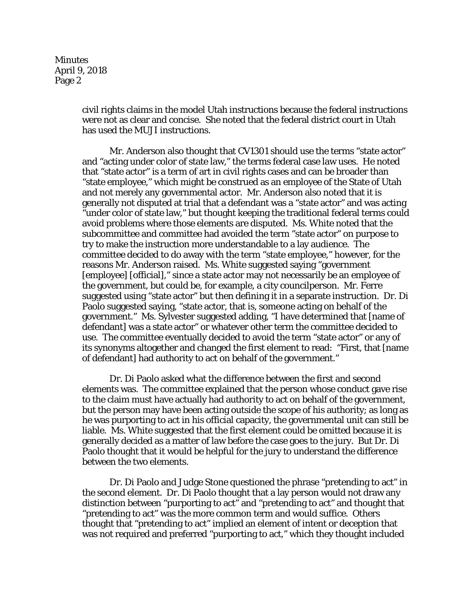**Minutes** April 9, 2018 Page 2

> civil rights claims in the model Utah instructions because the federal instructions were not as clear and concise. She noted that the federal district court in Utah has used the MUJI instructions.

> Mr. Anderson also thought that CV1301 should use the terms "state actor" and "acting under color of state law," the terms federal case law uses. He noted that "state actor" is a term of art in civil rights cases and can be broader than "state employee," which might be construed as an employee of the State of Utah and not merely any governmental actor. Mr. Anderson also noted that it is generally not disputed at trial that a defendant was a "state actor" and was acting "under color of state law," but thought keeping the traditional federal terms could avoid problems where those elements are disputed. Ms. White noted that the subcommittee and committee had avoided the term "state actor" on purpose to try to make the instruction more understandable to a lay audience. The committee decided to do away with the term "state employee," however, for the reasons Mr. Anderson raised. Ms. White suggested saying "government [employee] [official]," since a state actor may not necessarily be an employee of the government, but could be, for example, a city councilperson. Mr. Ferre suggested using "state actor" but then defining it in a separate instruction. Dr. Di Paolo suggested saying, "state actor, that is, someone acting on behalf of the government." Ms. Sylvester suggested adding, "I have determined that [name of defendant] was a state actor" or whatever other term the committee decided to use. The committee eventually decided to avoid the term "state actor" or any of its synonyms altogether and changed the first element to read: "First, that [name of defendant] had authority to act on behalf of the government."

> Dr. Di Paolo asked what the difference between the first and second elements was. The committee explained that the person whose conduct gave rise to the claim must have actually had authority to act on behalf of the government, but the person may have been acting outside the scope of his authority; as long as he was purporting to act in his official capacity, the governmental unit can still be liable. Ms. White suggested that the first element could be omitted because it is generally decided as a matter of law before the case goes to the jury. But Dr. Di Paolo thought that it would be helpful for the jury to understand the difference between the two elements.

> Dr. Di Paolo and Judge Stone questioned the phrase "pretending to act" in the second element. Dr. Di Paolo thought that a lay person would not draw any distinction between "purporting to act" and "pretending to act" and thought that "pretending to act" was the more common term and would suffice. Others thought that "pretending to act" implied an element of intent or deception that was not required and preferred "purporting to act," which they thought included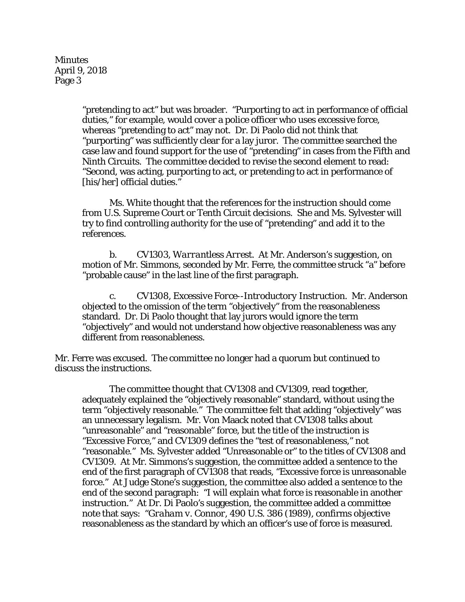**Minutes** April 9, 2018 Page 3

> "pretending to act" but was broader. "Purporting to act in performance of official duties," for example, would cover a police officer who uses excessive force, whereas "pretending to act" may not. Dr. Di Paolo did not think that "purporting" was sufficiently clear for a lay juror. The committee searched the case law and found support for the use of "pretending" in cases from the Fifth and Ninth Circuits. The committee decided to revise the second element to read: "Second, was acting, purporting to act, or pretending to act in performance of [his/her] official duties."

Ms. White thought that the references for the instruction should come from U.S. Supreme Court or Tenth Circuit decisions. She and Ms. Sylvester will try to find controlling authority for the use of "pretending" and add it to the references.

b. *CV1303, Warrantless Arrest.* At Mr. Anderson's suggestion, on motion of Mr. Simmons, seconded by Mr. Ferre, the committee struck "a" before "probable cause" in the last line of the first paragraph.

c. *CV1308, Excessive Force--Introductory Instruction.* Mr. Anderson objected to the omission of the term "objectively" from the reasonableness standard. Dr. Di Paolo thought that lay jurors would ignore the term "objectively" and would not understand how objective reasonableness was any different from reasonableness.

Mr. Ferre was excused. The committee no longer had a quorum but continued to discuss the instructions.

The committee thought that CV1308 and CV1309, read together, adequately explained the "objectively reasonable" standard, without using the term "objectively reasonable." The committee felt that adding "objectively" was an unnecessary legalism. Mr. Von Maack noted that CV1308 talks about "unreasonable" and "reasonable" force, but the title of the instruction is "Excessive Force," and CV1309 defines the "test of reasonableness," not "reasonable." Ms. Sylvester added "Unreasonable or" to the titles of CV1308 and CV1309. At Mr. Simmons's suggestion, the committee added a sentence to the end of the first paragraph of CV1308 that reads, "Excessive force is unreasonable force." At Judge Stone's suggestion, the committee also added a sentence to the end of the second paragraph: "I will explain what force is reasonable in another instruction." At Dr. Di Paolo's suggestion, the committee added a committee note that says: "*Graham v. Connor,* 490 U.S. 386 (1989), confirms objective reasonableness as the standard by which an officer's use of force is measured.